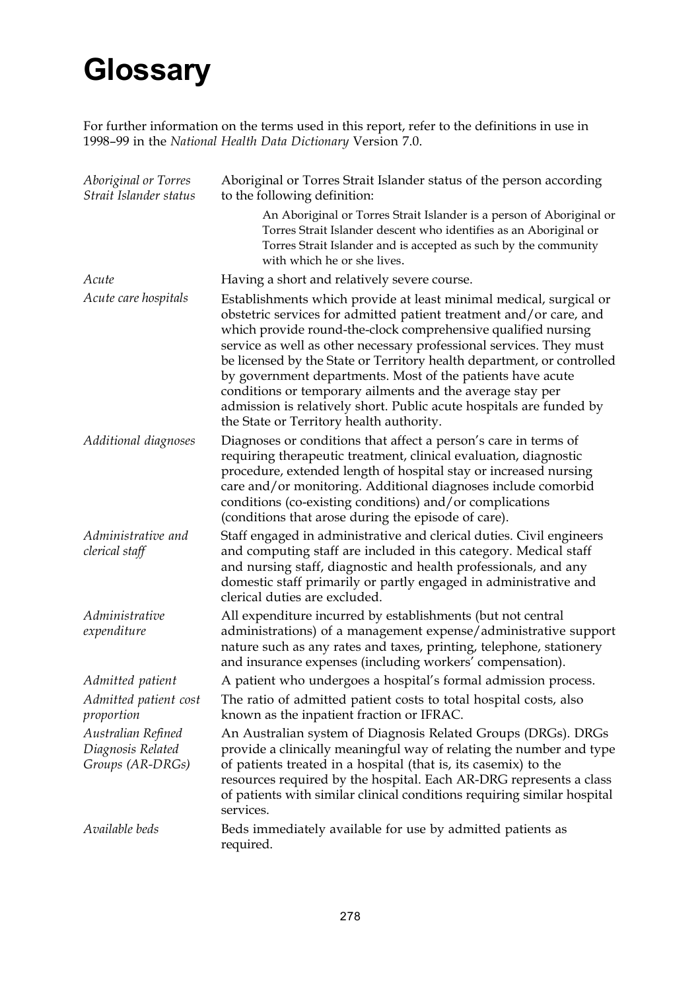# **Glossary**

For further information on the terms used in this report, refer to the definitions in use in 1998–99 in the *National Health Data Dictionary* Version 7.0.

| Aboriginal or Torres<br>Strait Islander status              | Aboriginal or Torres Strait Islander status of the person according<br>to the following definition:                                                                                                                                                                                                                                                                                                                                                                                                                                                                                                      |
|-------------------------------------------------------------|----------------------------------------------------------------------------------------------------------------------------------------------------------------------------------------------------------------------------------------------------------------------------------------------------------------------------------------------------------------------------------------------------------------------------------------------------------------------------------------------------------------------------------------------------------------------------------------------------------|
|                                                             | An Aboriginal or Torres Strait Islander is a person of Aboriginal or<br>Torres Strait Islander descent who identifies as an Aboriginal or<br>Torres Strait Islander and is accepted as such by the community<br>with which he or she lives.                                                                                                                                                                                                                                                                                                                                                              |
| Acute                                                       | Having a short and relatively severe course.                                                                                                                                                                                                                                                                                                                                                                                                                                                                                                                                                             |
| Acute care hospitals                                        | Establishments which provide at least minimal medical, surgical or<br>obstetric services for admitted patient treatment and/or care, and<br>which provide round-the-clock comprehensive qualified nursing<br>service as well as other necessary professional services. They must<br>be licensed by the State or Territory health department, or controlled<br>by government departments. Most of the patients have acute<br>conditions or temporary ailments and the average stay per<br>admission is relatively short. Public acute hospitals are funded by<br>the State or Territory health authority. |
| Additional diagnoses                                        | Diagnoses or conditions that affect a person's care in terms of<br>requiring therapeutic treatment, clinical evaluation, diagnostic<br>procedure, extended length of hospital stay or increased nursing<br>care and/or monitoring. Additional diagnoses include comorbid<br>conditions (co-existing conditions) and/or complications<br>(conditions that arose during the episode of care).                                                                                                                                                                                                              |
| Administrative and<br>clerical staff                        | Staff engaged in administrative and clerical duties. Civil engineers<br>and computing staff are included in this category. Medical staff<br>and nursing staff, diagnostic and health professionals, and any<br>domestic staff primarily or partly engaged in administrative and<br>clerical duties are excluded.                                                                                                                                                                                                                                                                                         |
| Administrative<br>expenditure                               | All expenditure incurred by establishments (but not central<br>administrations) of a management expense/administrative support<br>nature such as any rates and taxes, printing, telephone, stationery<br>and insurance expenses (including workers' compensation).                                                                                                                                                                                                                                                                                                                                       |
| Admitted patient                                            | A patient who undergoes a hospital's formal admission process.                                                                                                                                                                                                                                                                                                                                                                                                                                                                                                                                           |
| Admitted patient cost<br>proportion                         | The ratio of admitted patient costs to total hospital costs, also<br>known as the inpatient fraction or IFRAC.                                                                                                                                                                                                                                                                                                                                                                                                                                                                                           |
| Australian Refined<br>Diagnosis Related<br>Groups (AR-DRGs) | An Australian system of Diagnosis Related Groups (DRGs). DRGs<br>provide a clinically meaningful way of relating the number and type<br>of patients treated in a hospital (that is, its casemix) to the<br>resources required by the hospital. Each AR-DRG represents a class<br>of patients with similar clinical conditions requiring similar hospital<br>services.                                                                                                                                                                                                                                    |
| Available beds                                              | Beds immediately available for use by admitted patients as<br>required.                                                                                                                                                                                                                                                                                                                                                                                                                                                                                                                                  |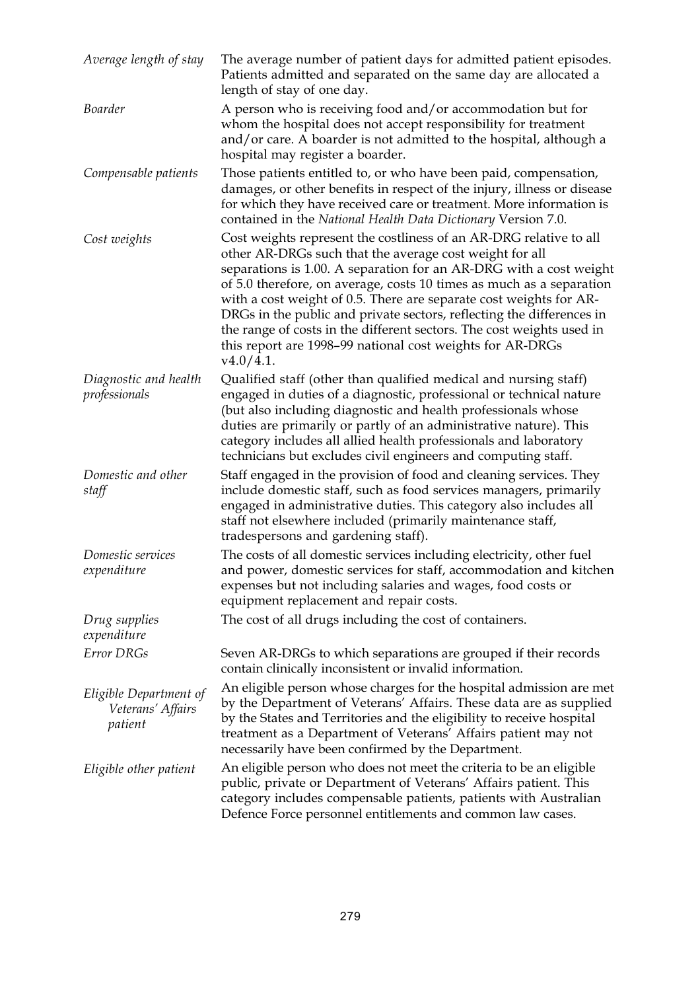| Average length of stay                                 | The average number of patient days for admitted patient episodes.<br>Patients admitted and separated on the same day are allocated a<br>length of stay of one day.                                                                                                                                                                                                                                                                                                                                                                                                            |
|--------------------------------------------------------|-------------------------------------------------------------------------------------------------------------------------------------------------------------------------------------------------------------------------------------------------------------------------------------------------------------------------------------------------------------------------------------------------------------------------------------------------------------------------------------------------------------------------------------------------------------------------------|
| Boarder                                                | A person who is receiving food and/or accommodation but for<br>whom the hospital does not accept responsibility for treatment<br>and/or care. A boarder is not admitted to the hospital, although a<br>hospital may register a boarder.                                                                                                                                                                                                                                                                                                                                       |
| Compensable patients                                   | Those patients entitled to, or who have been paid, compensation,<br>damages, or other benefits in respect of the injury, illness or disease<br>for which they have received care or treatment. More information is<br>contained in the National Health Data Dictionary Version 7.0.                                                                                                                                                                                                                                                                                           |
| Cost weights                                           | Cost weights represent the costliness of an AR-DRG relative to all<br>other AR-DRGs such that the average cost weight for all<br>separations is 1.00. A separation for an AR-DRG with a cost weight<br>of 5.0 therefore, on average, costs 10 times as much as a separation<br>with a cost weight of 0.5. There are separate cost weights for AR-<br>DRGs in the public and private sectors, reflecting the differences in<br>the range of costs in the different sectors. The cost weights used in<br>this report are 1998-99 national cost weights for AR-DRGs<br>v4.0/4.1. |
| Diagnostic and health<br>professionals                 | Qualified staff (other than qualified medical and nursing staff)<br>engaged in duties of a diagnostic, professional or technical nature<br>(but also including diagnostic and health professionals whose<br>duties are primarily or partly of an administrative nature). This<br>category includes all allied health professionals and laboratory<br>technicians but excludes civil engineers and computing staff.                                                                                                                                                            |
| Domestic and other<br>staff                            | Staff engaged in the provision of food and cleaning services. They<br>include domestic staff, such as food services managers, primarily<br>engaged in administrative duties. This category also includes all<br>staff not elsewhere included (primarily maintenance staff,<br>tradespersons and gardening staff).                                                                                                                                                                                                                                                             |
| Domestic services<br>expenditure                       | The costs of all domestic services including electricity, other fuel<br>and power, domestic services for staff, accommodation and kitchen<br>expenses but not including salaries and wages, food costs or<br>equipment replacement and repair costs.                                                                                                                                                                                                                                                                                                                          |
| Drug supplies<br>expenditure                           | The cost of all drugs including the cost of containers.                                                                                                                                                                                                                                                                                                                                                                                                                                                                                                                       |
| Error DRGs                                             | Seven AR-DRGs to which separations are grouped if their records<br>contain clinically inconsistent or invalid information.                                                                                                                                                                                                                                                                                                                                                                                                                                                    |
| Eligible Department of<br>Veterans' Affairs<br>patient | An eligible person whose charges for the hospital admission are met<br>by the Department of Veterans' Affairs. These data are as supplied<br>by the States and Territories and the eligibility to receive hospital<br>treatment as a Department of Veterans' Affairs patient may not<br>necessarily have been confirmed by the Department.                                                                                                                                                                                                                                    |
| Eligible other patient                                 | An eligible person who does not meet the criteria to be an eligible<br>public, private or Department of Veterans' Affairs patient. This<br>category includes compensable patients, patients with Australian<br>Defence Force personnel entitlements and common law cases.                                                                                                                                                                                                                                                                                                     |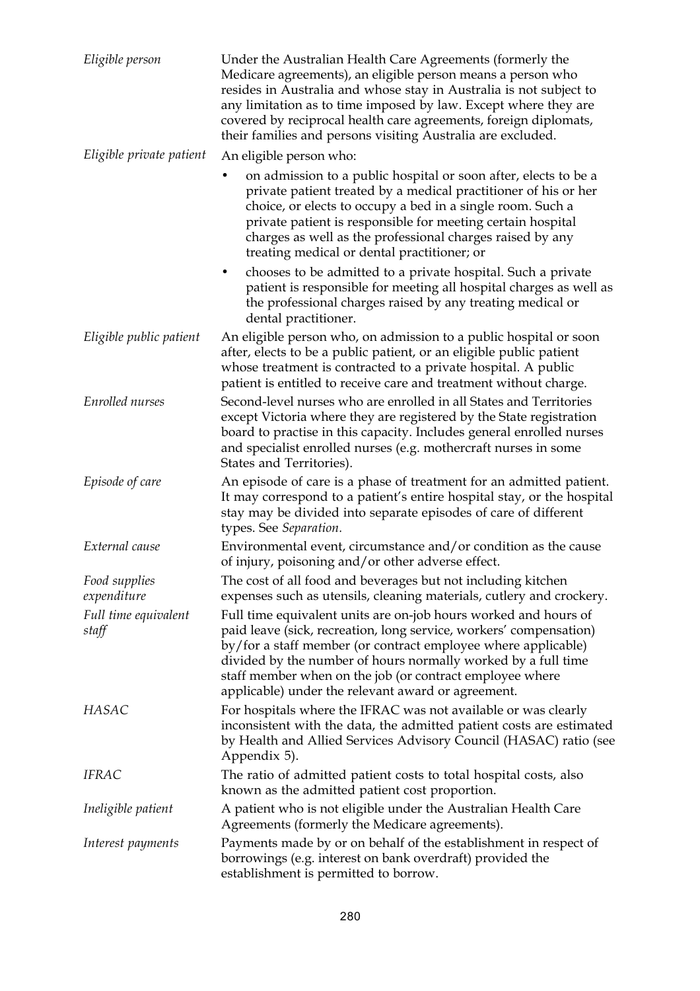| Eligible person               | Under the Australian Health Care Agreements (formerly the<br>Medicare agreements), an eligible person means a person who<br>resides in Australia and whose stay in Australia is not subject to<br>any limitation as to time imposed by law. Except where they are<br>covered by reciprocal health care agreements, foreign diplomats,<br>their families and persons visiting Australia are excluded. |
|-------------------------------|------------------------------------------------------------------------------------------------------------------------------------------------------------------------------------------------------------------------------------------------------------------------------------------------------------------------------------------------------------------------------------------------------|
| Eligible private patient      | An eligible person who:                                                                                                                                                                                                                                                                                                                                                                              |
|                               | on admission to a public hospital or soon after, elects to be a<br>private patient treated by a medical practitioner of his or her<br>choice, or elects to occupy a bed in a single room. Such a<br>private patient is responsible for meeting certain hospital<br>charges as well as the professional charges raised by any<br>treating medical or dental practitioner; or                          |
|                               | chooses to be admitted to a private hospital. Such a private<br>$\bullet$<br>patient is responsible for meeting all hospital charges as well as<br>the professional charges raised by any treating medical or<br>dental practitioner.                                                                                                                                                                |
| Eligible public patient       | An eligible person who, on admission to a public hospital or soon<br>after, elects to be a public patient, or an eligible public patient<br>whose treatment is contracted to a private hospital. A public<br>patient is entitled to receive care and treatment without charge.                                                                                                                       |
| Enrolled nurses               | Second-level nurses who are enrolled in all States and Territories<br>except Victoria where they are registered by the State registration<br>board to practise in this capacity. Includes general enrolled nurses<br>and specialist enrolled nurses (e.g. mothercraft nurses in some<br>States and Territories).                                                                                     |
| Episode of care               | An episode of care is a phase of treatment for an admitted patient.<br>It may correspond to a patient's entire hospital stay, or the hospital<br>stay may be divided into separate episodes of care of different<br>types. See Separation.                                                                                                                                                           |
| External cause                | Environmental event, circumstance and/or condition as the cause<br>of injury, poisoning and/or other adverse effect.                                                                                                                                                                                                                                                                                 |
| Food supplies<br>expenditure  | The cost of all food and beverages but not including kitchen<br>expenses such as utensils, cleaning materials, cutlery and crockery.                                                                                                                                                                                                                                                                 |
| Full time equivalent<br>staff | Full time equivalent units are on-job hours worked and hours of<br>paid leave (sick, recreation, long service, workers' compensation)<br>by/for a staff member (or contract employee where applicable)<br>divided by the number of hours normally worked by a full time<br>staff member when on the job (or contract employee where<br>applicable) under the relevant award or agreement.            |
| HASAC                         | For hospitals where the IFRAC was not available or was clearly<br>inconsistent with the data, the admitted patient costs are estimated<br>by Health and Allied Services Advisory Council (HASAC) ratio (see<br>Appendix 5).                                                                                                                                                                          |
| <b>IFRAC</b>                  | The ratio of admitted patient costs to total hospital costs, also<br>known as the admitted patient cost proportion.                                                                                                                                                                                                                                                                                  |
| Ineligible patient            | A patient who is not eligible under the Australian Health Care<br>Agreements (formerly the Medicare agreements).                                                                                                                                                                                                                                                                                     |
| Interest payments             | Payments made by or on behalf of the establishment in respect of<br>borrowings (e.g. interest on bank overdraft) provided the<br>establishment is permitted to borrow.                                                                                                                                                                                                                               |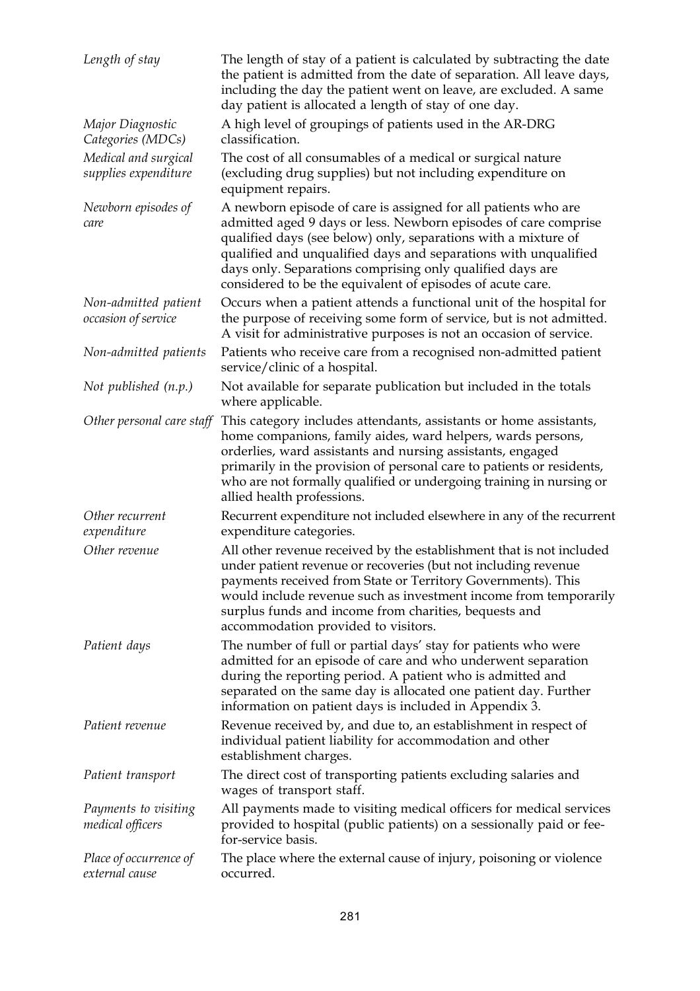| Length of stay                               | The length of stay of a patient is calculated by subtracting the date<br>the patient is admitted from the date of separation. All leave days,<br>including the day the patient went on leave, are excluded. A same<br>day patient is allocated a length of stay of one day.                                                                                                                       |
|----------------------------------------------|---------------------------------------------------------------------------------------------------------------------------------------------------------------------------------------------------------------------------------------------------------------------------------------------------------------------------------------------------------------------------------------------------|
| Major Diagnostic<br>Categories (MDCs)        | A high level of groupings of patients used in the AR-DRG<br>classification.                                                                                                                                                                                                                                                                                                                       |
| Medical and surgical<br>supplies expenditure | The cost of all consumables of a medical or surgical nature<br>(excluding drug supplies) but not including expenditure on<br>equipment repairs.                                                                                                                                                                                                                                                   |
| Newborn episodes of<br>care                  | A newborn episode of care is assigned for all patients who are<br>admitted aged 9 days or less. Newborn episodes of care comprise<br>qualified days (see below) only, separations with a mixture of<br>qualified and unqualified days and separations with unqualified<br>days only. Separations comprising only qualified days are<br>considered to be the equivalent of episodes of acute care. |
| Non-admitted patient<br>occasion of service  | Occurs when a patient attends a functional unit of the hospital for<br>the purpose of receiving some form of service, but is not admitted.<br>A visit for administrative purposes is not an occasion of service.                                                                                                                                                                                  |
| Non-admitted patients                        | Patients who receive care from a recognised non-admitted patient<br>service/clinic of a hospital.                                                                                                                                                                                                                                                                                                 |
| Not published $(n.p.)$                       | Not available for separate publication but included in the totals<br>where applicable.                                                                                                                                                                                                                                                                                                            |
| Other personal care staff                    | This category includes attendants, assistants or home assistants,<br>home companions, family aides, ward helpers, wards persons,<br>orderlies, ward assistants and nursing assistants, engaged<br>primarily in the provision of personal care to patients or residents,<br>who are not formally qualified or undergoing training in nursing or<br>allied health professions.                      |
| Other recurrent<br>expenditure               | Recurrent expenditure not included elsewhere in any of the recurrent<br>expenditure categories.                                                                                                                                                                                                                                                                                                   |
| Other revenue                                | All other revenue received by the establishment that is not included<br>under patient revenue or recoveries (but not including revenue<br>payments received from State or Territory Governments). This<br>would include revenue such as investment income from temporarily<br>surplus funds and income from charities, bequests and<br>accommodation provided to visitors.                        |
| Patient days                                 | The number of full or partial days' stay for patients who were<br>admitted for an episode of care and who underwent separation<br>during the reporting period. A patient who is admitted and<br>separated on the same day is allocated one patient day. Further<br>information on patient days is included in Appendix 3.                                                                         |
| Patient revenue                              | Revenue received by, and due to, an establishment in respect of<br>individual patient liability for accommodation and other<br>establishment charges.                                                                                                                                                                                                                                             |
| Patient transport                            | The direct cost of transporting patients excluding salaries and<br>wages of transport staff.                                                                                                                                                                                                                                                                                                      |
| Payments to visiting<br>medical officers     | All payments made to visiting medical officers for medical services<br>provided to hospital (public patients) on a sessionally paid or fee-<br>for-service basis.                                                                                                                                                                                                                                 |
| Place of occurrence of<br>external cause     | The place where the external cause of injury, poisoning or violence<br>occurred.                                                                                                                                                                                                                                                                                                                  |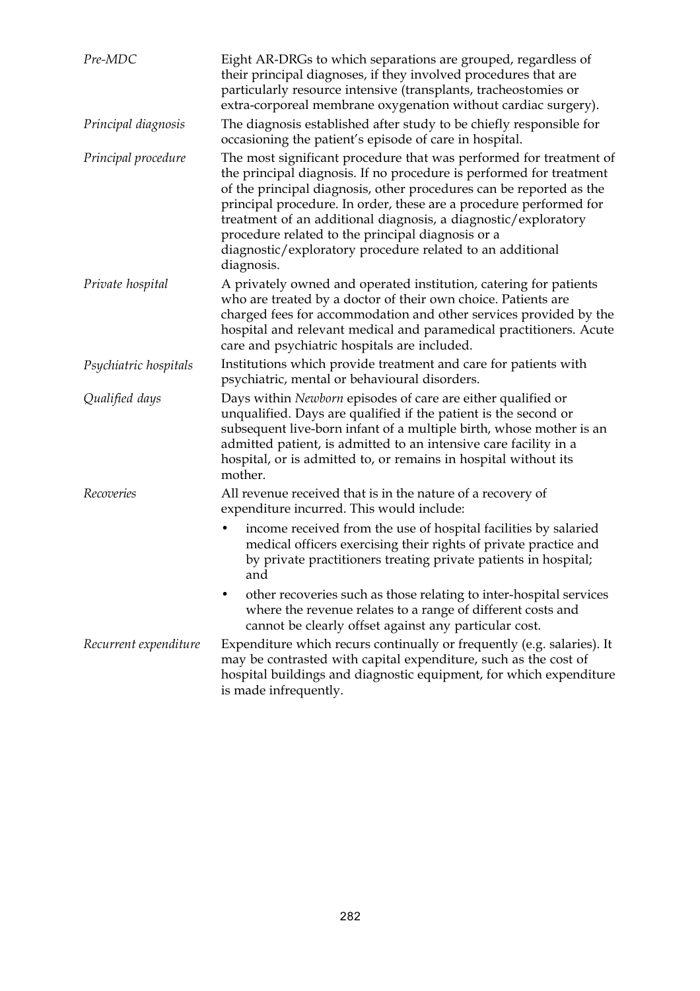| Pre-MDC               | Eight AR-DRGs to which separations are grouped, regardless of<br>their principal diagnoses, if they involved procedures that are<br>particularly resource intensive (transplants, tracheostomies or<br>extra-corporeal membrane oxygenation without cardiac surgery).                                                                                                                                                                                                                    |
|-----------------------|------------------------------------------------------------------------------------------------------------------------------------------------------------------------------------------------------------------------------------------------------------------------------------------------------------------------------------------------------------------------------------------------------------------------------------------------------------------------------------------|
| Principal diagnosis   | The diagnosis established after study to be chiefly responsible for<br>occasioning the patient's episode of care in hospital.                                                                                                                                                                                                                                                                                                                                                            |
| Principal procedure   | The most significant procedure that was performed for treatment of<br>the principal diagnosis. If no procedure is performed for treatment<br>of the principal diagnosis, other procedures can be reported as the<br>principal procedure. In order, these are a procedure performed for<br>treatment of an additional diagnosis, a diagnostic/exploratory<br>procedure related to the principal diagnosis or a<br>diagnostic/exploratory procedure related to an additional<br>diagnosis. |
| Private hospital      | A privately owned and operated institution, catering for patients<br>who are treated by a doctor of their own choice. Patients are<br>charged fees for accommodation and other services provided by the<br>hospital and relevant medical and paramedical practitioners. Acute<br>care and psychiatric hospitals are included.                                                                                                                                                            |
| Psychiatric hospitals | Institutions which provide treatment and care for patients with<br>psychiatric, mental or behavioural disorders.                                                                                                                                                                                                                                                                                                                                                                         |
| Qualified days        | Days within Newborn episodes of care are either qualified or<br>unqualified. Days are qualified if the patient is the second or<br>subsequent live-born infant of a multiple birth, whose mother is an<br>admitted patient, is admitted to an intensive care facility in a<br>hospital, or is admitted to, or remains in hospital without its<br>mother.                                                                                                                                 |
| Recoveries            | All revenue received that is in the nature of a recovery of<br>expenditure incurred. This would include:                                                                                                                                                                                                                                                                                                                                                                                 |
|                       | income received from the use of hospital facilities by salaried<br>٠<br>medical officers exercising their rights of private practice and<br>by private practitioners treating private patients in hospital;<br>and                                                                                                                                                                                                                                                                       |
|                       | other recoveries such as those relating to inter-hospital services<br>where the revenue relates to a range of different costs and<br>cannot be clearly offset against any particular cost.                                                                                                                                                                                                                                                                                               |
| Recurrent expenditure | Expenditure which recurs continually or frequently (e.g. salaries). It<br>may be contrasted with capital expenditure, such as the cost of<br>hospital buildings and diagnostic equipment, for which expenditure<br>is made infrequently.                                                                                                                                                                                                                                                 |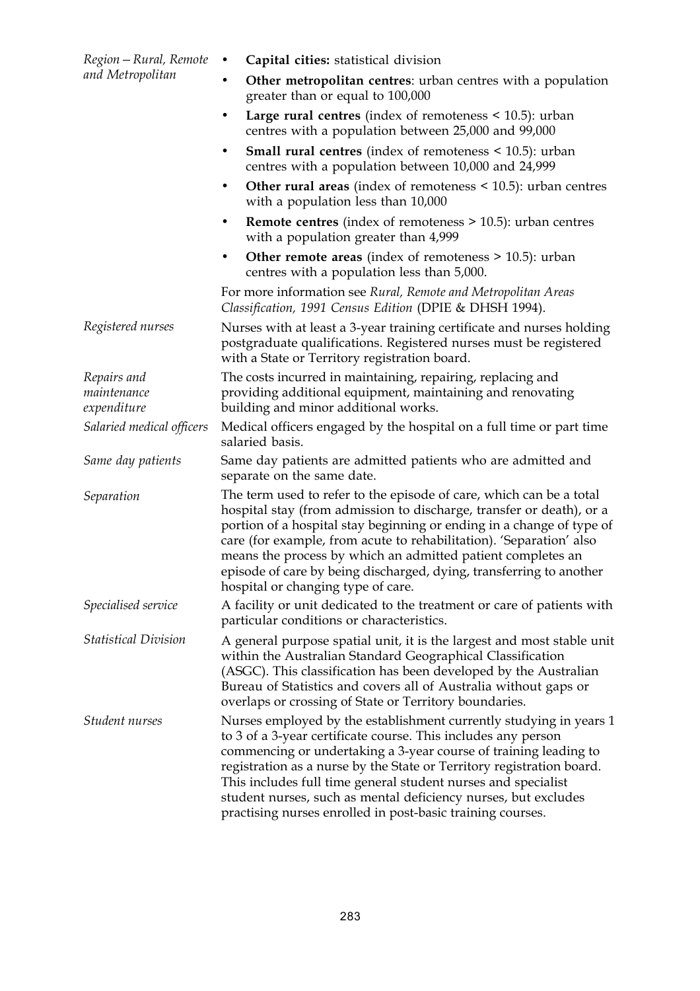| Region – Rural, Remote      | Capital cities: statistical division<br>$\bullet$                                                                                                                                                                                                                                                                                                                                                                                                                                 |
|-----------------------------|-----------------------------------------------------------------------------------------------------------------------------------------------------------------------------------------------------------------------------------------------------------------------------------------------------------------------------------------------------------------------------------------------------------------------------------------------------------------------------------|
| and Metropolitan            | <b>Other metropolitan centres:</b> urban centres with a population<br>$\bullet$<br>greater than or equal to 100,000                                                                                                                                                                                                                                                                                                                                                               |
|                             | Large rural centres (index of remoteness $\leq 10.5$ ): urban<br>centres with a population between 25,000 and 99,000                                                                                                                                                                                                                                                                                                                                                              |
|                             | <b>Small rural centres</b> (index of remoteness $\leq$ 10.5): urban<br>٠<br>centres with a population between 10,000 and 24,999                                                                                                                                                                                                                                                                                                                                                   |
|                             | Other rural areas (index of remoteness $\leq$ 10.5): urban centres<br>with a population less than 10,000                                                                                                                                                                                                                                                                                                                                                                          |
|                             | <b>Remote centres</b> (index of remoteness $>$ 10.5): urban centres<br>$\bullet$<br>with a population greater than 4,999                                                                                                                                                                                                                                                                                                                                                          |
|                             | Other remote areas (index of remoteness $> 10.5$ ): urban<br>٠<br>centres with a population less than 5,000.                                                                                                                                                                                                                                                                                                                                                                      |
|                             | For more information see Rural, Remote and Metropolitan Areas<br>Classification, 1991 Census Edition (DPIE & DHSH 1994).                                                                                                                                                                                                                                                                                                                                                          |
| Registered nurses           | Nurses with at least a 3-year training certificate and nurses holding<br>postgraduate qualifications. Registered nurses must be registered<br>with a State or Territory registration board.                                                                                                                                                                                                                                                                                       |
| Repairs and                 | The costs incurred in maintaining, repairing, replacing and                                                                                                                                                                                                                                                                                                                                                                                                                       |
| maintenance                 | providing additional equipment, maintaining and renovating                                                                                                                                                                                                                                                                                                                                                                                                                        |
| expenditure                 | building and minor additional works.                                                                                                                                                                                                                                                                                                                                                                                                                                              |
| Salaried medical officers   | Medical officers engaged by the hospital on a full time or part time<br>salaried basis.                                                                                                                                                                                                                                                                                                                                                                                           |
| Same day patients           | Same day patients are admitted patients who are admitted and<br>separate on the same date.                                                                                                                                                                                                                                                                                                                                                                                        |
| Separation                  | The term used to refer to the episode of care, which can be a total<br>hospital stay (from admission to discharge, transfer or death), or a<br>portion of a hospital stay beginning or ending in a change of type of<br>care (for example, from acute to rehabilitation). 'Separation' also<br>means the process by which an admitted patient completes an<br>episode of care by being discharged, dying, transferring to another<br>hospital or changing type of care.           |
| Specialised service         | A facility or unit dedicated to the treatment or care of patients with<br>particular conditions or characteristics.                                                                                                                                                                                                                                                                                                                                                               |
| <b>Statistical Division</b> | A general purpose spatial unit, it is the largest and most stable unit<br>within the Australian Standard Geographical Classification<br>(ASGC). This classification has been developed by the Australian<br>Bureau of Statistics and covers all of Australia without gaps or<br>overlaps or crossing of State or Territory boundaries.                                                                                                                                            |
| Student nurses              | Nurses employed by the establishment currently studying in years 1<br>to 3 of a 3-year certificate course. This includes any person<br>commencing or undertaking a 3-year course of training leading to<br>registration as a nurse by the State or Territory registration board.<br>This includes full time general student nurses and specialist<br>student nurses, such as mental deficiency nurses, but excludes<br>practising nurses enrolled in post-basic training courses. |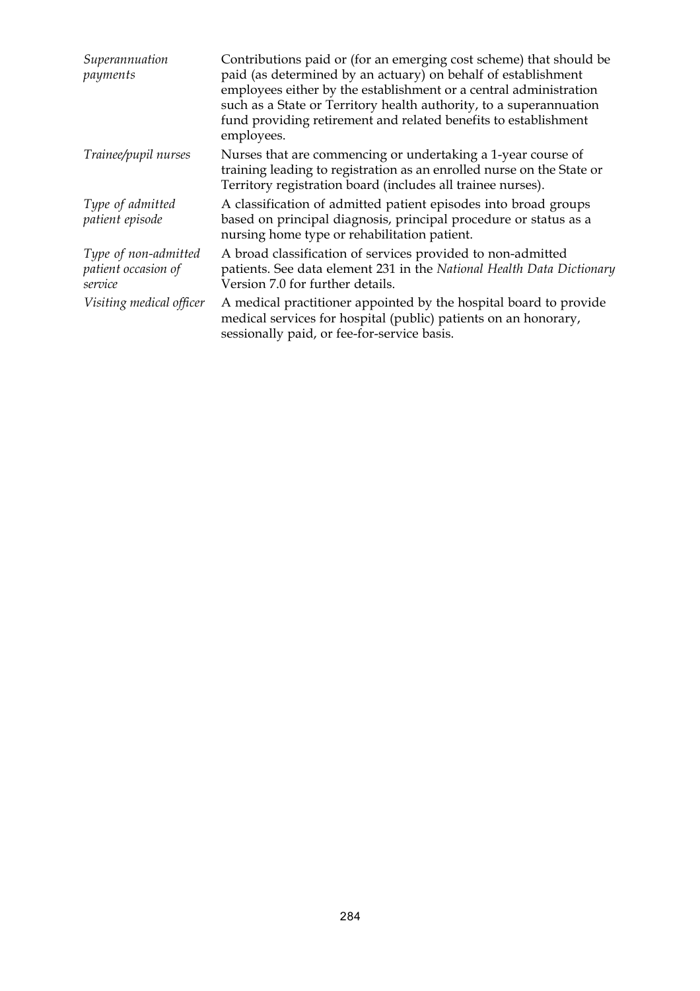| Superannuation<br>payments                             | Contributions paid or (for an emerging cost scheme) that should be<br>paid (as determined by an actuary) on behalf of establishment<br>employees either by the establishment or a central administration<br>such as a State or Territory health authority, to a superannuation<br>fund providing retirement and related benefits to establishment<br>employees. |
|--------------------------------------------------------|-----------------------------------------------------------------------------------------------------------------------------------------------------------------------------------------------------------------------------------------------------------------------------------------------------------------------------------------------------------------|
| Trainee/pupil nurses                                   | Nurses that are commencing or undertaking a 1-year course of<br>training leading to registration as an enrolled nurse on the State or<br>Territory registration board (includes all trainee nurses).                                                                                                                                                            |
| Type of admitted<br>patient episode                    | A classification of admitted patient episodes into broad groups<br>based on principal diagnosis, principal procedure or status as a<br>nursing home type or rehabilitation patient.                                                                                                                                                                             |
| Type of non-admitted<br>patient occasion of<br>service | A broad classification of services provided to non-admitted<br>patients. See data element 231 in the National Health Data Dictionary<br>Version 7.0 for further details.                                                                                                                                                                                        |
| Visiting medical officer                               | A medical practitioner appointed by the hospital board to provide<br>medical services for hospital (public) patients on an honorary,<br>sessionally paid, or fee-for-service basis.                                                                                                                                                                             |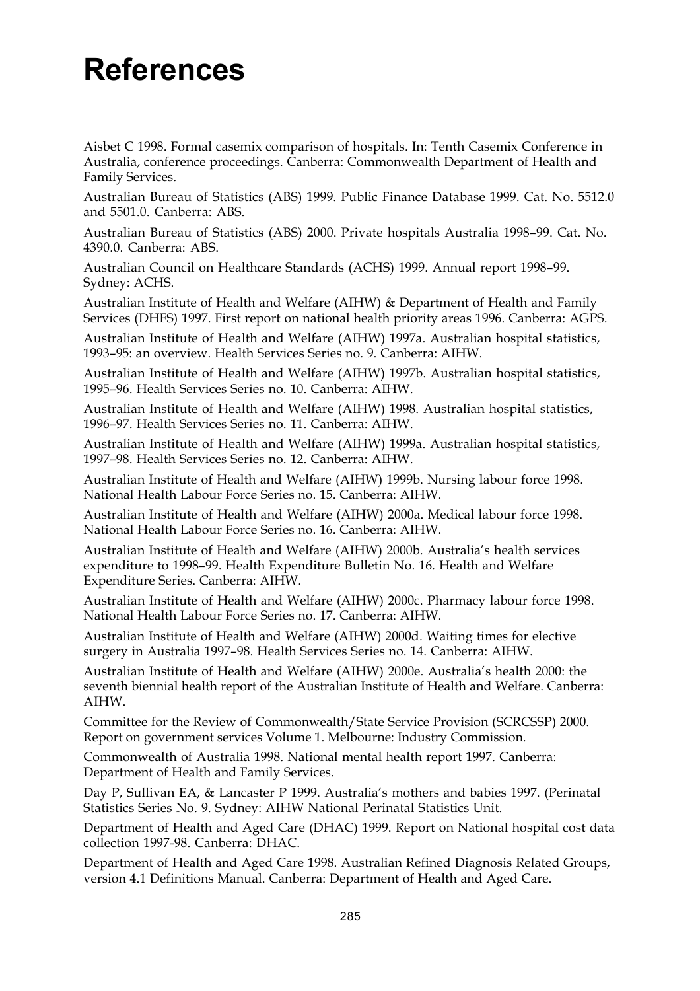## **References**

Aisbet C 1998. Formal casemix comparison of hospitals. In: Tenth Casemix Conference in Australia, conference proceedings. Canberra: Commonwealth Department of Health and Family Services.

Australian Bureau of Statistics (ABS) 1999. Public Finance Database 1999. Cat. No. 5512.0 and 5501.0. Canberra: ABS.

Australian Bureau of Statistics (ABS) 2000. Private hospitals Australia 1998–99. Cat. No. 4390.0. Canberra: ABS.

Australian Council on Healthcare Standards (ACHS) 1999. Annual report 1998–99. Sydney: ACHS.

Australian Institute of Health and Welfare (AIHW) & Department of Health and Family Services (DHFS) 1997. First report on national health priority areas 1996. Canberra: AGPS.

Australian Institute of Health and Welfare (AIHW) 1997a. Australian hospital statistics, 1993–95: an overview. Health Services Series no. 9. Canberra: AIHW.

Australian Institute of Health and Welfare (AIHW) 1997b. Australian hospital statistics, 1995–96. Health Services Series no. 10. Canberra: AIHW.

Australian Institute of Health and Welfare (AIHW) 1998. Australian hospital statistics, 1996–97. Health Services Series no. 11. Canberra: AIHW.

Australian Institute of Health and Welfare (AIHW) 1999a. Australian hospital statistics, 1997–98. Health Services Series no. 12. Canberra: AIHW.

Australian Institute of Health and Welfare (AIHW) 1999b. Nursing labour force 1998. National Health Labour Force Series no. 15. Canberra: AIHW.

Australian Institute of Health and Welfare (AIHW) 2000a. Medical labour force 1998. National Health Labour Force Series no. 16. Canberra: AIHW.

Australian Institute of Health and Welfare (AIHW) 2000b. Australia's health services expenditure to 1998–99. Health Expenditure Bulletin No. 16. Health and Welfare Expenditure Series. Canberra: AIHW.

Australian Institute of Health and Welfare (AIHW) 2000c. Pharmacy labour force 1998. National Health Labour Force Series no. 17. Canberra: AIHW.

Australian Institute of Health and Welfare (AIHW) 2000d. Waiting times for elective surgery in Australia 1997–98. Health Services Series no. 14. Canberra: AIHW.

Australian Institute of Health and Welfare (AIHW) 2000e. Australia's health 2000: the seventh biennial health report of the Australian Institute of Health and Welfare. Canberra: AIHW.

Committee for the Review of Commonwealth/State Service Provision (SCRCSSP) 2000. Report on government services Volume 1. Melbourne: Industry Commission.

Commonwealth of Australia 1998. National mental health report 1997. Canberra: Department of Health and Family Services.

Day P, Sullivan EA, & Lancaster P 1999. Australia's mothers and babies 1997. (Perinatal Statistics Series No. 9. Sydney: AIHW National Perinatal Statistics Unit.

Department of Health and Aged Care (DHAC) 1999. Report on National hospital cost data collection 1997-98. Canberra: DHAC.

Department of Health and Aged Care 1998. Australian Refined Diagnosis Related Groups, version 4.1 Definitions Manual. Canberra: Department of Health and Aged Care.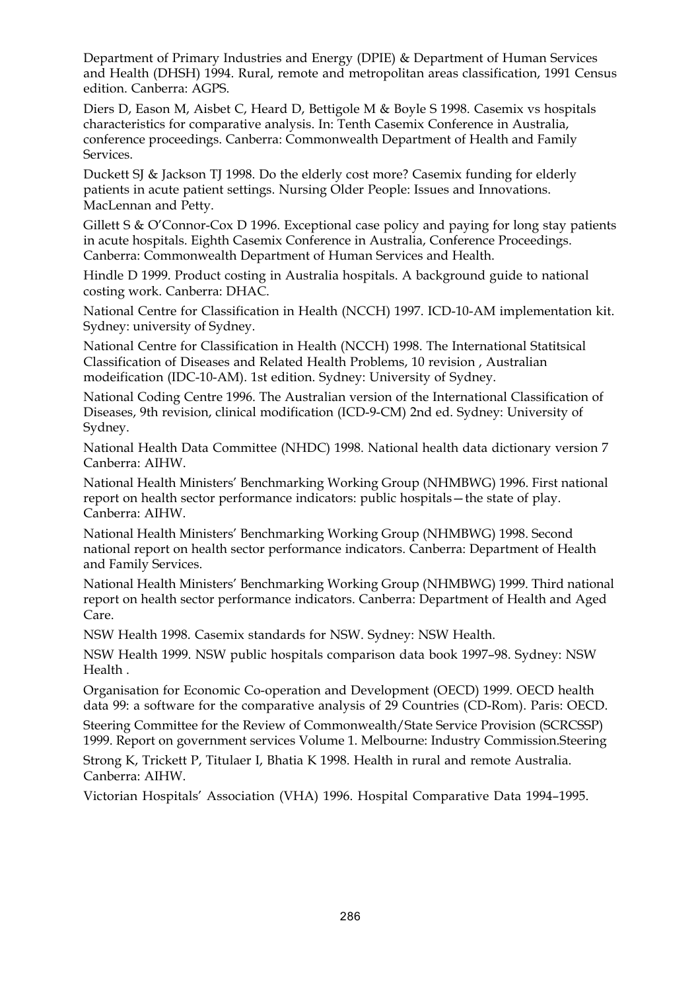Department of Primary Industries and Energy (DPIE) & Department of Human Services and Health (DHSH) 1994. Rural, remote and metropolitan areas classification, 1991 Census edition. Canberra: AGPS.

Diers D, Eason M, Aisbet C, Heard D, Bettigole M & Boyle S 1998. Casemix vs hospitals characteristics for comparative analysis. In: Tenth Casemix Conference in Australia, conference proceedings. Canberra: Commonwealth Department of Health and Family Services.

Duckett SJ & Jackson TJ 1998. Do the elderly cost more? Casemix funding for elderly patients in acute patient settings. Nursing Older People: Issues and Innovations. MacLennan and Petty.

Gillett S & O'Connor-Cox D 1996. Exceptional case policy and paying for long stay patients in acute hospitals. Eighth Casemix Conference in Australia, Conference Proceedings. Canberra: Commonwealth Department of Human Services and Health.

Hindle D 1999. Product costing in Australia hospitals. A background guide to national costing work. Canberra: DHAC.

National Centre for Classification in Health (NCCH) 1997. ICD-10-AM implementation kit. Sydney: university of Sydney.

National Centre for Classification in Health (NCCH) 1998. The International Statitsical Classification of Diseases and Related Health Problems, 10 revision , Australian modeification (IDC-10-AM). 1st edition. Sydney: University of Sydney.

National Coding Centre 1996. The Australian version of the International Classification of Diseases, 9th revision, clinical modification (ICD-9-CM) 2nd ed. Sydney: University of Sydney.

National Health Data Committee (NHDC) 1998. National health data dictionary version 7 Canberra: AIHW.

National Health Ministers' Benchmarking Working Group (NHMBWG) 1996. First national report on health sector performance indicators: public hospitals—the state of play. Canberra: AIHW.

National Health Ministers' Benchmarking Working Group (NHMBWG) 1998. Second national report on health sector performance indicators. Canberra: Department of Health and Family Services.

National Health Ministers' Benchmarking Working Group (NHMBWG) 1999. Third national report on health sector performance indicators. Canberra: Department of Health and Aged Care.

NSW Health 1998. Casemix standards for NSW. Sydney: NSW Health.

NSW Health 1999. NSW public hospitals comparison data book 1997–98. Sydney: NSW Health .

Organisation for Economic Co-operation and Development (OECD) 1999. OECD health data 99: a software for the comparative analysis of 29 Countries (CD-Rom). Paris: OECD.

Steering Committee for the Review of Commonwealth/State Service Provision (SCRCSSP) 1999. Report on government services Volume 1. Melbourne: Industry Commission.Steering

Strong K, Trickett P, Titulaer I, Bhatia K 1998. Health in rural and remote Australia. Canberra: AIHW.

Victorian Hospitals' Association (VHA) 1996. Hospital Comparative Data 1994–1995.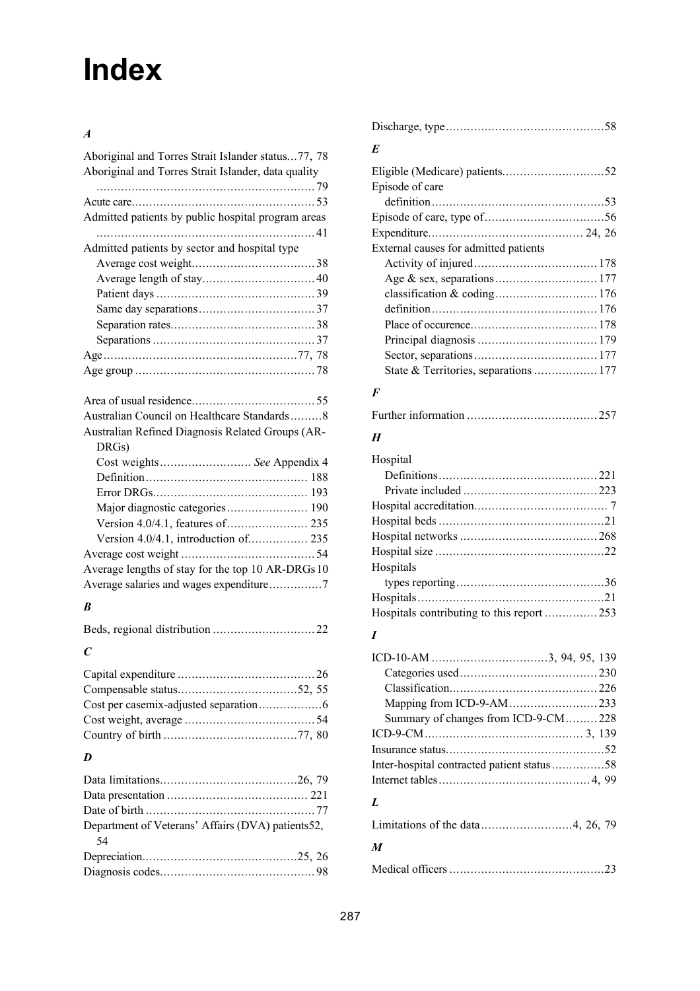## **Index**

## *A*

| Aboriginal and Torres Strait Islander status77, 78<br>Aboriginal and Torres Strait Islander, data quality |  |
|-----------------------------------------------------------------------------------------------------------|--|
|                                                                                                           |  |
| Admitted patients by public hospital program areas                                                        |  |
|                                                                                                           |  |
| Admitted patients by sector and hospital type                                                             |  |
|                                                                                                           |  |
|                                                                                                           |  |
|                                                                                                           |  |
|                                                                                                           |  |
|                                                                                                           |  |
|                                                                                                           |  |
|                                                                                                           |  |
|                                                                                                           |  |
|                                                                                                           |  |
|                                                                                                           |  |
| Australian Council on Healthcare Standards8                                                               |  |
| Australian Refined Diagnosis Related Groups (AR-<br>DRGs)                                                 |  |
| Cost weights See Appendix 4                                                                               |  |
|                                                                                                           |  |
|                                                                                                           |  |
|                                                                                                           |  |
|                                                                                                           |  |
| Version 4.0/4.1, introduction of 235                                                                      |  |
|                                                                                                           |  |
| Average lengths of stay for the top 10 AR-DRGs 10                                                         |  |
|                                                                                                           |  |

## *B*

| $\mathcal{C}$ |  |
|---------------|--|

## *D*

| Department of Veterans' Affairs (DVA) patients52, |
|---------------------------------------------------|
|                                                   |
|                                                   |
|                                                   |
|                                                   |

| E                                     |  |
|---------------------------------------|--|
|                                       |  |
| Episode of care                       |  |
|                                       |  |
|                                       |  |
|                                       |  |
| External causes for admitted patients |  |
|                                       |  |
|                                       |  |
|                                       |  |
|                                       |  |
|                                       |  |
|                                       |  |
|                                       |  |
|                                       |  |
|                                       |  |

### *F*

|--|--|--|--|

### *H*

| Hospital  |  |
|-----------|--|
|           |  |
|           |  |
|           |  |
|           |  |
|           |  |
|           |  |
| Hospitals |  |
|           |  |
|           |  |
|           |  |
|           |  |

## *I*

| Summary of changes from ICD-9-CM228        |  |
|--------------------------------------------|--|
|                                            |  |
|                                            |  |
| Inter-hospital contracted patient status58 |  |
|                                            |  |
| L                                          |  |
|                                            |  |
| $\boldsymbol{M}$                           |  |
|                                            |  |